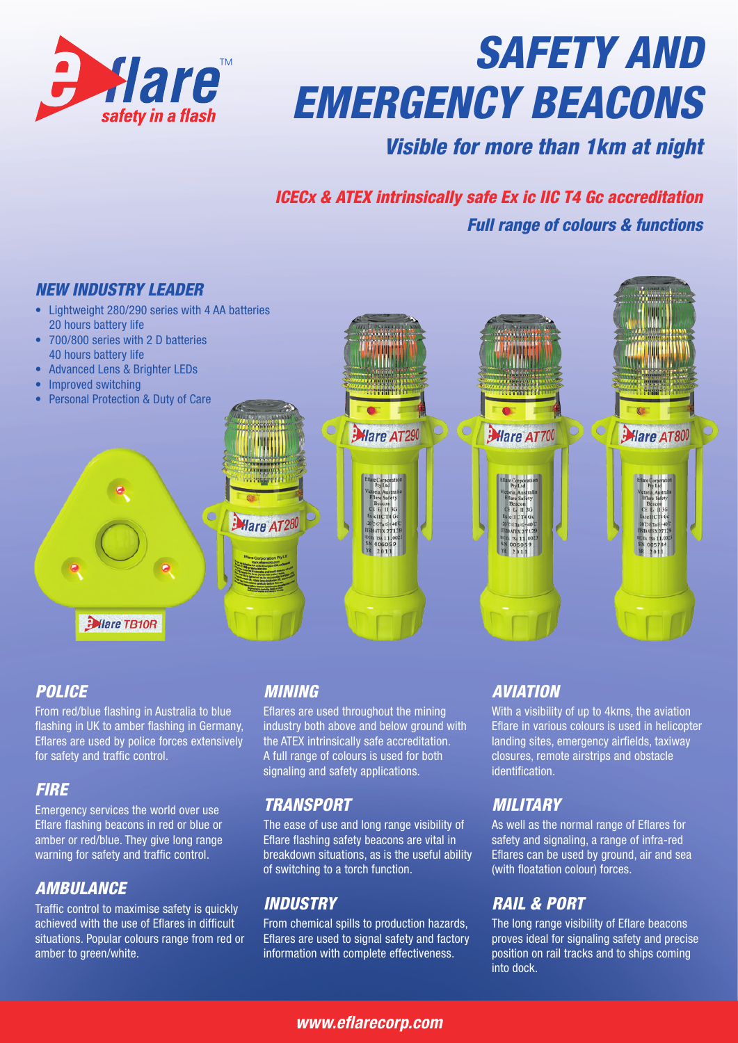

# *SAFETY AND EMERGENCY BEACONS*

### *Visible for more than 1km at night*

## *ICECx & ATEX intrinsically safe Ex ic IIC T4 Gc accreditation Full range of colours & functions*



#### *POLICE*

From red/blue flashing in Australia to blue flashing in UK to amber flashing in Germany, Eflares are used by police forces extensively for safety and traffic control.

#### *FIRE*

Emergency services the world over use Eflare flashing beacons in red or blue or amber or red/blue. They give long range warning for safety and traffic control.

#### *AMBULANCE*

Traffic control to maximise safety is quickly achieved with the use of Eflares in difficult situations. Popular colours range from red or amber to green/white.

#### *MINING*

Eflares are used throughout the mining industry both above and below ground with the ATEX intrinsically safe accreditation. A full range of colours is used for both signaling and safety applications.

#### *TRANSPORT*

The ease of use and long range visibility of Eflare flashing safety beacons are vital in breakdown situations, as is the useful ability of switching to a torch function.

#### *INDUSTRY*

From chemical spills to production hazards, Eflares are used to signal safety and factory information with complete effectiveness.

#### *AVIATION*

With a visibility of up to 4kms, the aviation Eflare in various colours is used in helicopter landing sites, emergency airfields, taxiway closures, remote airstrips and obstacle identification.

#### *MILITARY*

As well as the normal range of Eflares for safety and signaling, a range of infra-red Eflares can be used by ground, air and sea (with floatation colour) forces.

#### *RAIL & PORT*

The long range visibility of Eflare beacons proves ideal for signaling safety and precise position on rail tracks and to ships coming into dock.